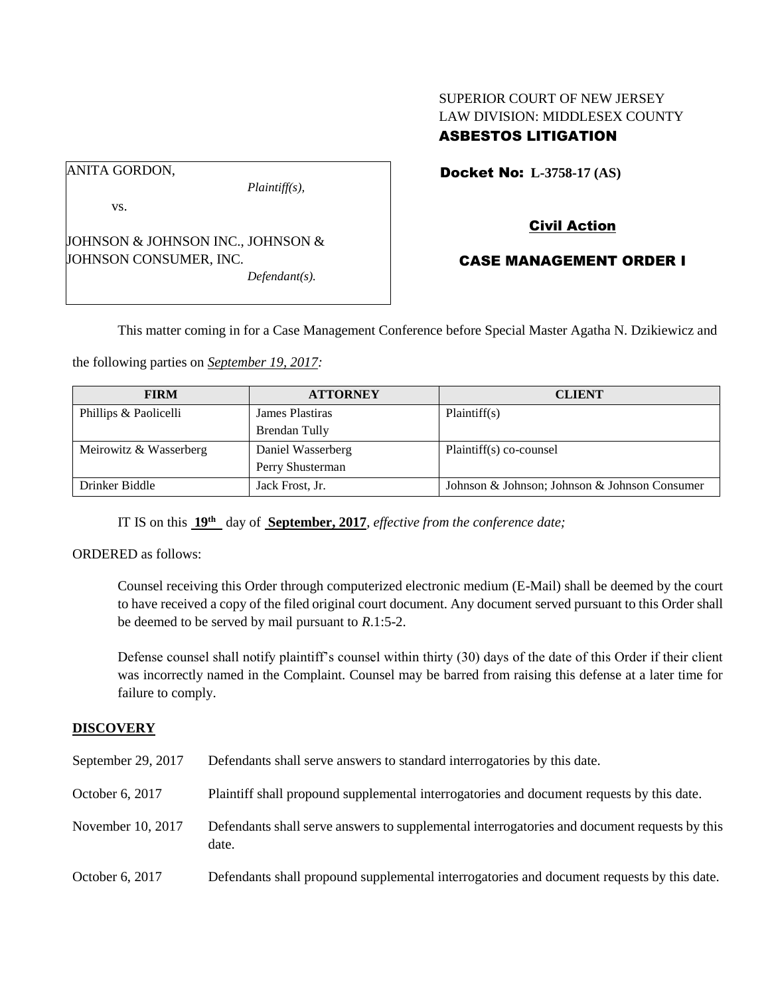## SUPERIOR COURT OF NEW JERSEY LAW DIVISION: MIDDLESEX COUNTY ASBESTOS LITIGATION

ANITA GORDON,

vs.

*Plaintiff(s),*

JOHNSON & JOHNSON INC., JOHNSON & JOHNSON CONSUMER, INC. *Defendant(s).*

Docket No: **L-3758-17 (AS)** 

# Civil Action

## CASE MANAGEMENT ORDER I

This matter coming in for a Case Management Conference before Special Master Agatha N. Dzikiewicz and

the following parties on *September 19, 2017:*

| <b>FIRM</b>            | <b>ATTORNEY</b>   | <b>CLIENT</b>                                 |
|------------------------|-------------------|-----------------------------------------------|
| Phillips & Paolicelli  | James Plastiras   | Plaintiff(s)                                  |
|                        | Brendan Tully     |                                               |
| Meirowitz & Wasserberg | Daniel Wasserberg | Plaintiff(s) co-counsel                       |
|                        | Perry Shusterman  |                                               |
| Drinker Biddle         | Jack Frost, Jr.   | Johnson & Johnson; Johnson & Johnson Consumer |

IT IS on this **19th** day of **September, 2017**, *effective from the conference date;*

ORDERED as follows:

Counsel receiving this Order through computerized electronic medium (E-Mail) shall be deemed by the court to have received a copy of the filed original court document. Any document served pursuant to this Order shall be deemed to be served by mail pursuant to *R*.1:5-2.

Defense counsel shall notify plaintiff's counsel within thirty (30) days of the date of this Order if their client was incorrectly named in the Complaint. Counsel may be barred from raising this defense at a later time for failure to comply.

## **DISCOVERY**

| September 29, 2017 | Defendants shall serve answers to standard interrogatories by this date.                              |
|--------------------|-------------------------------------------------------------------------------------------------------|
| October 6, 2017    | Plaintiff shall propound supplemental interrogatories and document requests by this date.             |
| November 10, 2017  | Defendants shall serve answers to supplemental interrogatories and document requests by this<br>date. |
| October 6, 2017    | Defendants shall propound supplemental interrogatories and document requests by this date.            |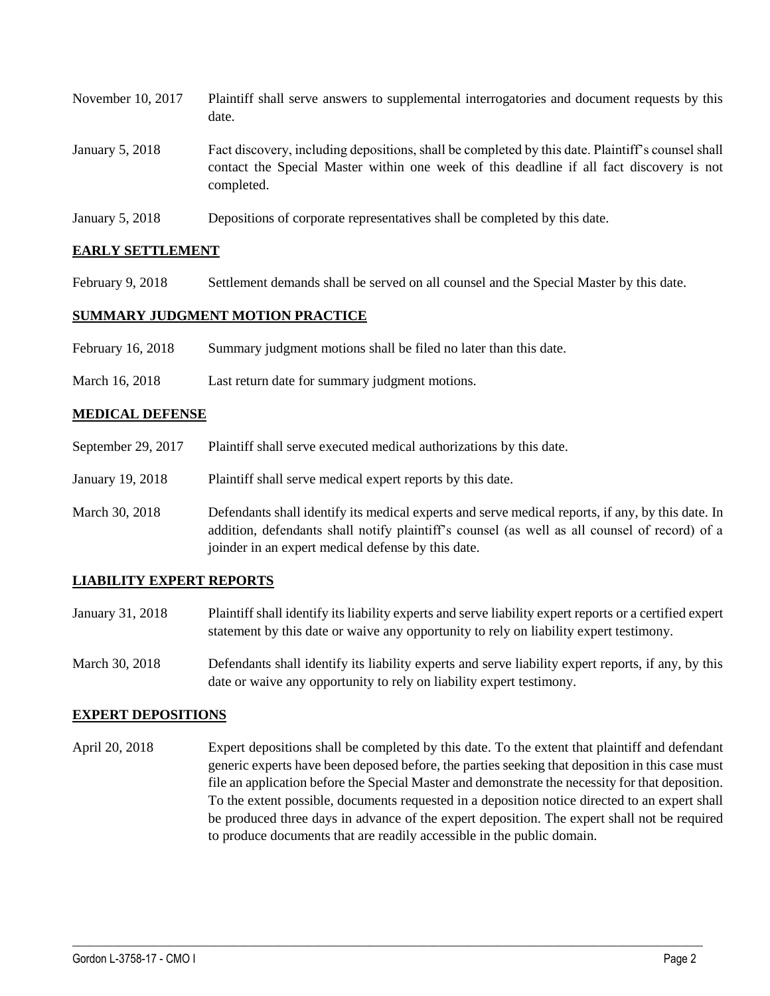| November 10, 2017 | Plaintiff shall serve answers to supplemental interrogatories and document requests by this<br>date.                                                                                                        |
|-------------------|-------------------------------------------------------------------------------------------------------------------------------------------------------------------------------------------------------------|
| January 5, 2018   | Fact discovery, including depositions, shall be completed by this date. Plaintiff's counsel shall<br>contact the Special Master within one week of this deadline if all fact discovery is not<br>completed. |
|                   |                                                                                                                                                                                                             |

January 5, 2018 Depositions of corporate representatives shall be completed by this date.

#### **EARLY SETTLEMENT**

February 9, 2018 Settlement demands shall be served on all counsel and the Special Master by this date.

### **SUMMARY JUDGMENT MOTION PRACTICE**

- February 16, 2018 Summary judgment motions shall be filed no later than this date.
- March 16, 2018 Last return date for summary judgment motions.

#### **MEDICAL DEFENSE**

- September 29, 2017 Plaintiff shall serve executed medical authorizations by this date.
- January 19, 2018 Plaintiff shall serve medical expert reports by this date.
- March 30, 2018 Defendants shall identify its medical experts and serve medical reports, if any, by this date. In addition, defendants shall notify plaintiff's counsel (as well as all counsel of record) of a joinder in an expert medical defense by this date.

### **LIABILITY EXPERT REPORTS**

- January 31, 2018 Plaintiff shall identify its liability experts and serve liability expert reports or a certified expert statement by this date or waive any opportunity to rely on liability expert testimony.
- March 30, 2018 Defendants shall identify its liability experts and serve liability expert reports, if any, by this date or waive any opportunity to rely on liability expert testimony.

#### **EXPERT DEPOSITIONS**

April 20, 2018 Expert depositions shall be completed by this date. To the extent that plaintiff and defendant generic experts have been deposed before, the parties seeking that deposition in this case must file an application before the Special Master and demonstrate the necessity for that deposition. To the extent possible, documents requested in a deposition notice directed to an expert shall be produced three days in advance of the expert deposition. The expert shall not be required to produce documents that are readily accessible in the public domain.

 $\_$  ,  $\_$  ,  $\_$  ,  $\_$  ,  $\_$  ,  $\_$  ,  $\_$  ,  $\_$  ,  $\_$  ,  $\_$  ,  $\_$  ,  $\_$  ,  $\_$  ,  $\_$  ,  $\_$  ,  $\_$  ,  $\_$  ,  $\_$  ,  $\_$  ,  $\_$  ,  $\_$  ,  $\_$  ,  $\_$  ,  $\_$  ,  $\_$  ,  $\_$  ,  $\_$  ,  $\_$  ,  $\_$  ,  $\_$  ,  $\_$  ,  $\_$  ,  $\_$  ,  $\_$  ,  $\_$  ,  $\_$  ,  $\_$  ,